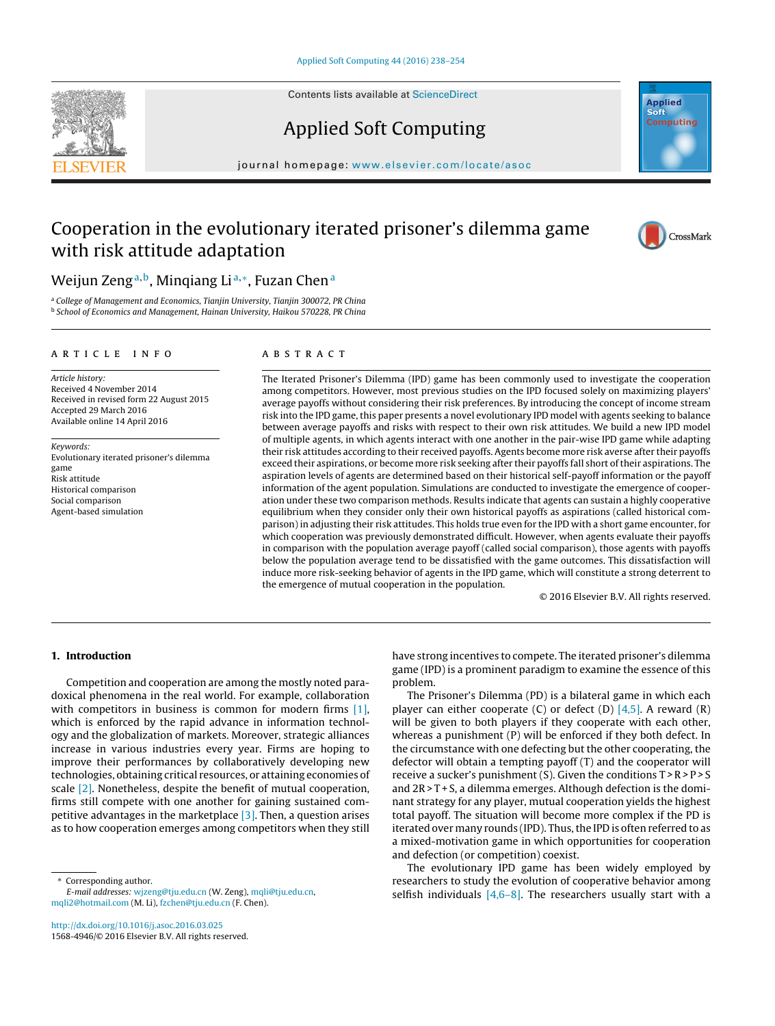Contents lists available at [ScienceDirect](http://www.sciencedirect.com/science/journal/15684946)

# Applied Soft Computing

journal homepage: <www.elsevier.com/locate/asoc>

## Cooperation in the evolutionary iterated prisoner's dilemma game with risk attitude adaptation

### Weijun Zeng<sup>a,b</sup>, Mingiang Li<sup>a,\*</sup>, Fuzan Chen<sup>a</sup>

a College of Management and Economics, Tianjin University, Tianjin 300072, PR China b School of Economics and Management, Hainan University, Haikou 570228, PR China

#### article info

Article history: Received 4 November 2014 Received in revised form 22 August 2015 Accepted 29 March 2016 Available online 14 April 2016

Keywords: Evolutionary iterated prisoner's dilemma game Risk attitude Historical comparison Social comparison Agent-based simulation

#### **ABSTRACT**

The Iterated Prisoner's Dilemma (IPD) game has been commonly used to investigate the cooperation among competitors. However, most previous studies on the IPD focused solely on maximizing players' average payoffs without considering their risk preferences. By introducing the concept of income stream risk into the IPD game, this paper presents a novel evolutionary IPD model with agents seeking to balance between average payoffs and risks with respect to their own risk attitudes. We build a new IPD model of multiple agents, in which agents interact with one another in the pair-wise IPD game while adapting their risk attitudes according to their received payoffs. Agents become more risk averse after their payoffs exceed their aspirations, or become more risk seeking after their payoffs fall short of their aspirations. The aspiration levels of agents are determined based on their historical self-payoff information or the payoff information of the agent population. Simulations are conducted to investigate the emergence of cooperation under these two comparison methods. Results indicate that agents can sustain a highly cooperative equilibrium when they consider only their own historical payoffs as aspirations (called historical comparison) in adjusting their risk attitudes. This holds true even for the IPD with a short game encounter, for which cooperation was previously demonstrated difficult. However, when agents evaluate their payoffs in comparison with the population average payoff (called social comparison), those agents with payoffs below the population average tend to be dissatisfied with the game outcomes. This dissatisfaction will induce more risk-seeking behavior of agents in the IPD game, which will constitute a strong deterrent to the emergence of mutual cooperation in the population.

© 2016 Elsevier B.V. All rights reserved.

#### **1. Introduction**

Competition and cooperation are among the mostly noted paradoxical phenomena in the real world. For example, collaboration with competitors in business is common for modern firms [\[1\],](#page--1-0) which is enforced by the rapid advance in information technology and the globalization of markets. Moreover, strategic alliances increase in various industries every year. Firms are hoping to improve their performances by collaboratively developing new technologies, obtaining critical resources, or attaining economies of scale [\[2\]. N](#page--1-0)onetheless, despite the benefit of mutual cooperation, firms still compete with one another for gaining sustained competitive advantages in the marketplace [\[3\]. T](#page--1-0)hen, a question arises as to how cooperation emerges among competitors when they still

∗ Corresponding author.

E-mail addresses: [wjzeng@tju.edu.cn](mailto:wjzeng@tju.edu.cn) (W. Zeng), [mqli@tju.edu.cn](mailto:mqli@tju.edu.cn), [mqli2@hotmail.com](mailto:mqli2@hotmail.com) (M. Li), [fzchen@tju.edu.cn](mailto:fzchen@tju.edu.cn) (F. Chen).

[http://dx.doi.org/10.1016/j.asoc.2016.03.025](dx.doi.org/10.1016/j.asoc.2016.03.025) 1568-4946/© 2016 Elsevier B.V. All rights reserved. have strong incentives to compete. The iterated prisoner's dilemma game (IPD) is a prominent paradigm to examine the essence of this problem.

The Prisoner's Dilemma (PD) is a bilateral game in which each player can either cooperate (C) or defect (D)  $[4,5]$ . A reward (R) will be given to both players if they cooperate with each other, whereas a punishment (P) will be enforced if they both defect. In the circumstance with one defecting but the other cooperating, the defector will obtain a tempting payoff (T) and the cooperator will receive a sucker's punishment (S). Given the conditions T > R > P > S and 2R > T + S, a dilemma emerges. Although defection is the dominant strategy for any player, mutual cooperation yields the highest total payoff. The situation will become more complex if the PD is iterated over many rounds (IPD). Thus, the IPD is often referred to as a mixed-motivation game in which opportunities for cooperation and defection (or competition) coexist.

The evolutionary IPD game has been widely employed by researchers to study the evolution of cooperative behavior among selfish individuals  $[4,6-8]$ . The researchers usually start with a





CrossMark

**Applied Soft**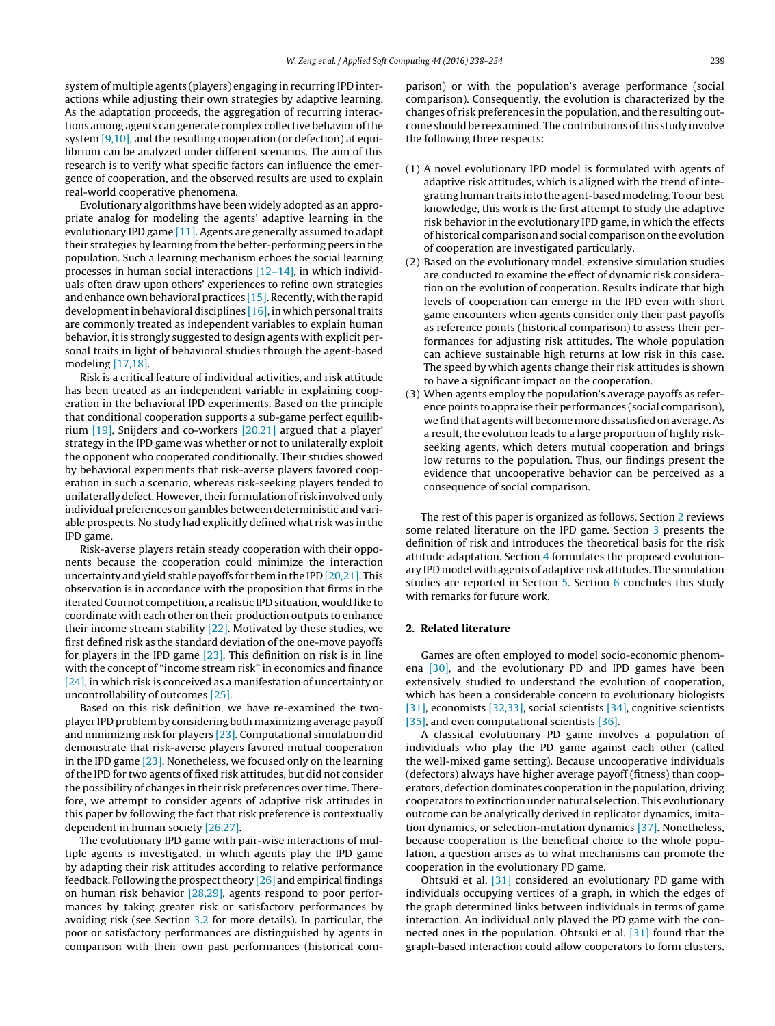system of multiple agents (players) engaging in recurring IPD interactions while adjusting their own strategies by adaptive learning. As the adaptation proceeds, the aggregation of recurring interactions among agents can generate complex collective behavior of the system [\[9,10\], a](#page--1-0)nd the resulting cooperation (or defection) at equilibrium can be analyzed under different scenarios. The aim of this research is to verify what specific factors can influence the emergence of cooperation, and the observed results are used to explain real-world cooperative phenomena.

Evolutionary algorithms have been widely adopted as an appropriate analog for modeling the agents' adaptive learning in the evolutionary IPD game [\[11\]. A](#page--1-0)gents are generally assumed to adapt their strategies by learning from the better-performing peers in the population. Such a learning mechanism echoes the social learning processes in human social interactions [\[12–14\], i](#page--1-0)n which individuals often draw upon others' experiences to refine own strategies and enhance own behavioral practices [\[15\]. R](#page--1-0)ecently, with the rapid development in behavioral disciplines [\[16\], i](#page--1-0)n which personal traits are commonly treated as independent variables to explain human behavior, it is strongly suggested to design agents with explicit personal traits in light of behavioral studies through the agent-based modeling [\[17,18\].](#page--1-0)

Risk is a critical feature of individual activities, and risk attitude has been treated as an independent variable in explaining cooperation in the behavioral IPD experiments. Based on the principle that conditional cooperation supports a sub-game perfect equilibrium [\[19\], S](#page--1-0)nijders and co-workers [\[20,21\]](#page--1-0) argued that a player' strategy in the IPD game was whether or not to unilaterally exploit the opponent who cooperated conditionally. Their studies showed by behavioral experiments that risk-averse players favored cooperation in such a scenario, whereas risk-seeking players tended to unilaterally defect. However, their formulation of risk involved only individual preferences on gambles between deterministic and variable prospects. No study had explicitly defined what risk was in the IPD game.

Risk-averse players retain steady cooperation with their opponents because the cooperation could minimize the interaction uncertainty and yield stable payoffs for them in the IPD [\[20,21\]. T](#page--1-0)his observation is in accordance with the proposition that firms in the iterated Cournot competition, a realistic IPD situation, would like to coordinate with each other on their production outputs to enhance their income stream stability [\[22\]. M](#page--1-0)otivated by these studies, we first defined risk as the standard deviation of the one-move payoffs for players in the IPD game  $[23]$ . This definition on risk is in line with the concept of "income stream risk" in economics and finance [\[24\], i](#page--1-0)n which risk is conceived as a manifestation of uncertainty or uncontrollability of outcomes [\[25\].](#page--1-0)

Based on this risk definition, we have re-examined the twoplayer IPD problem by considering both maximizing average payoff and minimizing risk for players [\[23\]. C](#page--1-0)omputational simulation did demonstrate that risk-averse players favored mutual cooperation in the IPD game [\[23\]. N](#page--1-0)onetheless, we focused only on the learning of the IPD for two agents of fixed risk attitudes, but did not consider the possibility of changes in their risk preferences over time. Therefore, we attempt to consider agents of adaptive risk attitudes in this paper by following the fact that risk preference is contextually dependent in human society [\[26,27\].](#page--1-0)

The evolutionary IPD game with pair-wise interactions of multiple agents is investigated, in which agents play the IPD game by adapting their risk attitudes according to relative performance feedback. Following the prospect theory [\[26\]](#page--1-0) and empirical findings on human risk behavior [\[28,29\],](#page--1-0) agents respond to poor performances by taking greater risk or satisfactory performances by avoiding risk (see Section [3.2](#page--1-0) for more details). In particular, the poor or satisfactory performances are distinguished by agents in comparison with their own past performances (historical comparison) or with the population's average performance (social comparison). Consequently, the evolution is characterized by the changes of risk preferences in the population, and the resulting outcome should be reexamined. The contributions of this study involve the following three respects:

- (1) A novel evolutionary IPD model is formulated with agents of adaptive risk attitudes, which is aligned with the trend of integrating human traits into the agent-based modeling. To our best knowledge, this work is the first attempt to study the adaptive risk behavior in the evolutionary IPD game, in which the effects of historical comparison and social comparison on the evolution of cooperation are investigated particularly.
- (2) Based on the evolutionary model, extensive simulation studies are conducted to examine the effect of dynamic risk consideration on the evolution of cooperation. Results indicate that high levels of cooperation can emerge in the IPD even with short game encounters when agents consider only their past payoffs as reference points (historical comparison) to assess their performances for adjusting risk attitudes. The whole population can achieve sustainable high returns at low risk in this case. The speed by which agents change their risk attitudes is shown to have a significant impact on the cooperation.
- (3) When agents employ the population's average payoffs as reference points to appraise their performances (social comparison), we find that agents will becomemore dissatisfied on average. As a result, the evolution leads to a large proportion of highly riskseeking agents, which deters mutual cooperation and brings low returns to the population. Thus, our findings present the evidence that uncooperative behavior can be perceived as a consequence of social comparison.

The rest of this paper is organized as follows. Section 2 reviews some related literature on the IPD game. Section [3](#page--1-0) presents the definition of risk and introduces the theoretical basis for the risk attitude adaptation. Section [4](#page--1-0) formulates the proposed evolutionary IPD model with agents of adaptive risk attitudes. The simulation studies are reported in Section [5.](#page--1-0) Section [6](#page--1-0) concludes this study with remarks for future work.

#### **2. Related literature**

Games are often employed to model socio-economic phenomena [\[30\],](#page--1-0) and the evolutionary PD and IPD games have been extensively studied to understand the evolution of cooperation, which has been a considerable concern to evolutionary biologists [\[31\], e](#page--1-0)conomists [\[32,33\], s](#page--1-0)ocial scientists [\[34\], c](#page--1-0)ognitive scientists [\[35\], a](#page--1-0)nd even computational scientists [\[36\].](#page--1-0)

A classical evolutionary PD game involves a population of individuals who play the PD game against each other (called the well-mixed game setting). Because uncooperative individuals (defectors) always have higher average payoff (fitness) than cooperators, defection dominates cooperation in the population, driving cooperators to extinction under natural selection. This evolutionary outcome can be analytically derived in replicator dynamics, imitation dynamics, or selection-mutation dynamics [\[37\]. N](#page--1-0)onetheless, because cooperation is the beneficial choice to the whole population, a question arises as to what mechanisms can promote the cooperation in the evolutionary PD game.

Ohtsuki et al. [\[31\]](#page--1-0) considered an evolutionary PD game with individuals occupying vertices of a graph, in which the edges of the graph determined links between individuals in terms of game interaction. An individual only played the PD game with the connected ones in the population. Ohtsuki et al. [\[31\]](#page--1-0) found that the graph-based interaction could allow cooperators to form clusters.